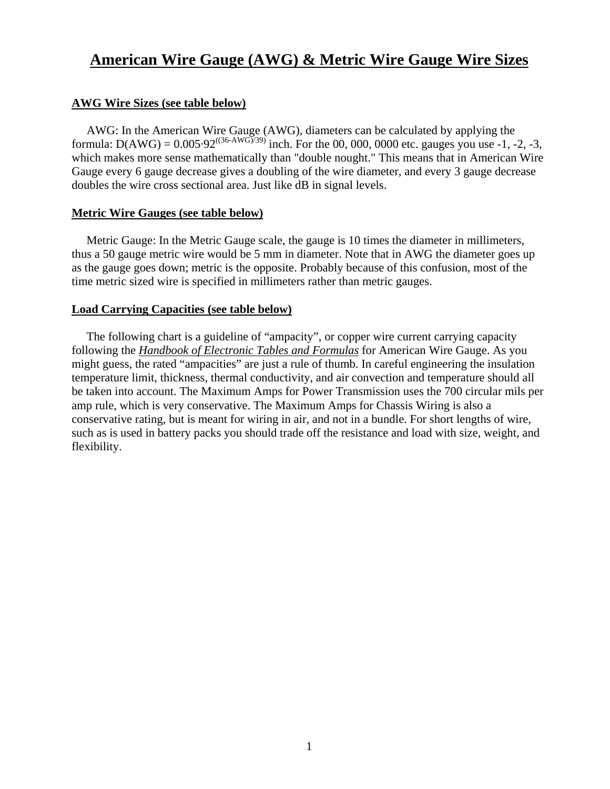## **American Wire Gauge (AWG) & Metric Wire Gauge Wire Sizes**

## **AWG Wire Sizes (see table below)**

 AWG: In the American Wire Gauge (AWG), diameters can be calculated by applying the formula:  $D(AWG) = 0.005.92^{((36-AWG)/39)}$  inch. For the 00, 000, 0000 etc. gauges you use -1, -2, -3, which makes more sense mathematically than "double nought." This means that in American Wire Gauge every 6 gauge decrease gives a doubling of the wire diameter, and every 3 gauge decrease doubles the wire cross sectional area. Just like dB in signal levels.

## **Metric Wire Gauges (see table below)**

 Metric Gauge: In the Metric Gauge scale, the gauge is 10 times the diameter in millimeters, thus a 50 gauge metric wire would be 5 mm in diameter. Note that in AWG the diameter goes up as the gauge goes down; metric is the opposite. Probably because of this confusion, most of the time metric sized wire is specified in millimeters rather than metric gauges.

## **Load Carrying Capacities (see table below)**

 The following chart is a guideline of "ampacity", or copper wire current carrying capacity following the *Handbook of Electronic Tables and Formulas* for American Wire Gauge. As you might guess, the rated "ampacities" are just a rule of thumb. In careful engineering the insulation temperature limit, thickness, thermal conductivity, and air convection and temperature should all be taken into account. The Maximum Amps for Power Transmission uses the 700 circular mils per amp rule, which is very conservative. The Maximum Amps for Chassis Wiring is also a conservative rating, but is meant for wiring in air, and not in a bundle. For short lengths of wire, such as is used in battery packs you should trade off the resistance and load with size, weight, and flexibility.